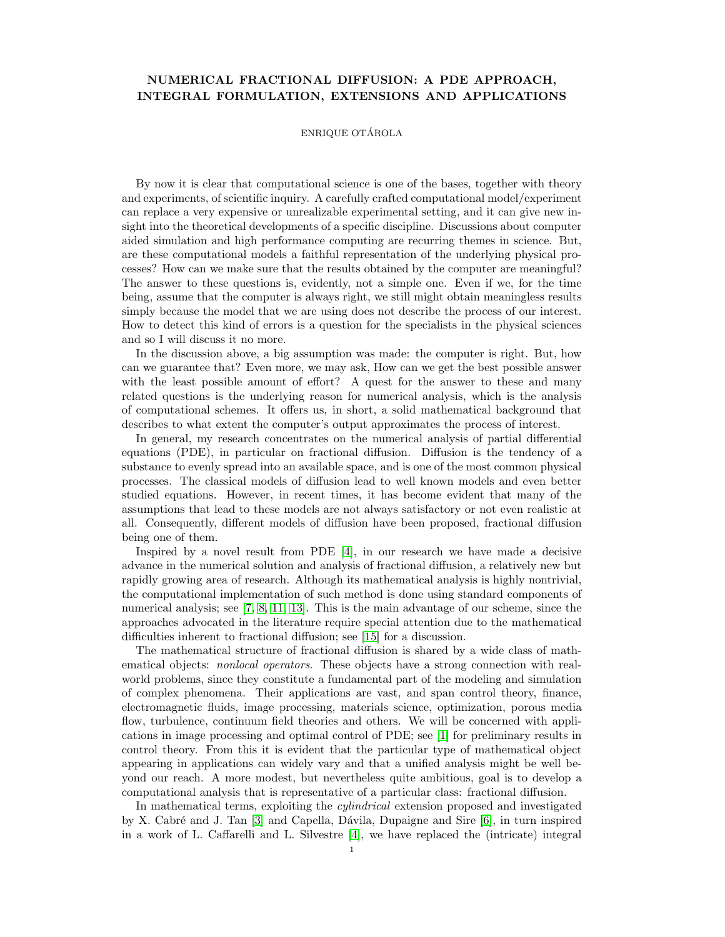## NUMERICAL FRACTIONAL DIFFUSION: A PDE APPROACH, INTEGRAL FORMULATION, EXTENSIONS AND APPLICATIONS

## ENRIQUE OTÁROLA

By now it is clear that computational science is one of the bases, together with theory and experiments, of scientific inquiry. A carefully crafted computational model/experiment can replace a very expensive or unrealizable experimental setting, and it can give new insight into the theoretical developments of a specific discipline. Discussions about computer aided simulation and high performance computing are recurring themes in science. But, are these computational models a faithful representation of the underlying physical processes? How can we make sure that the results obtained by the computer are meaningful? The answer to these questions is, evidently, not a simple one. Even if we, for the time being, assume that the computer is always right, we still might obtain meaningless results simply because the model that we are using does not describe the process of our interest. How to detect this kind of errors is a question for the specialists in the physical sciences and so I will discuss it no more.

In the discussion above, a big assumption was made: the computer is right. But, how can we guarantee that? Even more, we may ask, How can we get the best possible answer with the least possible amount of effort? A quest for the answer to these and many related questions is the underlying reason for numerical analysis, which is the analysis of computational schemes. It offers us, in short, a solid mathematical background that describes to what extent the computer's output approximates the process of interest.

In general, my research concentrates on the numerical analysis of partial differential equations (PDE), in particular on fractional diffusion. Diffusion is the tendency of a substance to evenly spread into an available space, and is one of the most common physical processes. The classical models of diffusion lead to well known models and even better studied equations. However, in recent times, it has become evident that many of the assumptions that lead to these models are not always satisfactory or not even realistic at all. Consequently, different models of diffusion have been proposed, fractional diffusion being one of them.

Inspired by a novel result from PDE [\[4\]](#page-2-0), in our research we have made a decisive advance in the numerical solution and analysis of fractional diffusion, a relatively new but rapidly growing area of research. Although its mathematical analysis is highly nontrivial, the computational implementation of such method is done using standard components of numerical analysis; see [\[7,](#page-2-1) [8,](#page-2-2) [11,](#page-2-3) [13\]](#page-2-4). This is the main advantage of our scheme, since the approaches advocated in the literature require special attention due to the mathematical difficulties inherent to fractional diffusion; see [\[15\]](#page-2-5) for a discussion.

The mathematical structure of fractional diffusion is shared by a wide class of mathematical objects: nonlocal operators. These objects have a strong connection with realworld problems, since they constitute a fundamental part of the modeling and simulation of complex phenomena. Their applications are vast, and span control theory, finance, electromagnetic fluids, image processing, materials science, optimization, porous media flow, turbulence, continuum field theories and others. We will be concerned with applications in image processing and optimal control of PDE; see [\[1\]](#page-2-6) for preliminary results in control theory. From this it is evident that the particular type of mathematical object appearing in applications can widely vary and that a unified analysis might be well beyond our reach. A more modest, but nevertheless quite ambitious, goal is to develop a computational analysis that is representative of a particular class: fractional diffusion.

In mathematical terms, exploiting the cylindrical extension proposed and investigated by X. Cabré and J. Tan  $[3]$  and Capella, Dávila, Dupaigne and Sire  $[6]$ , in turn inspired in a work of L. Caffarelli and L. Silvestre [\[4\]](#page-2-0), we have replaced the (intricate) integral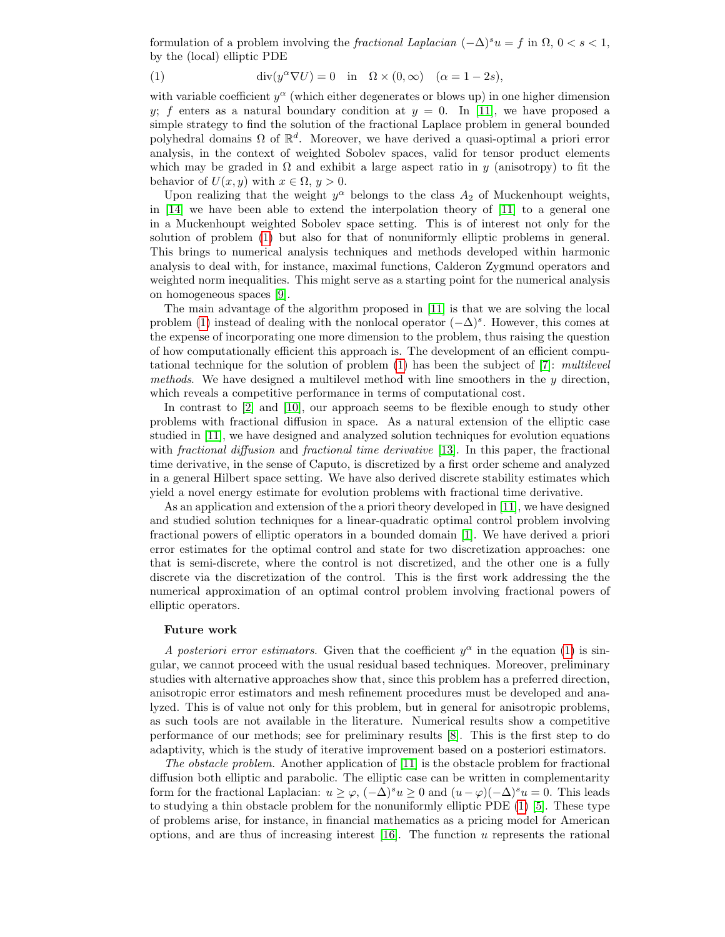formulation of a problem involving the fractional Laplacian  $(-\Delta)^s u = f$  in  $\Omega$ ,  $0 < s < 1$ , by the (local) elliptic PDE

<span id="page-1-0"></span>(1) 
$$
\operatorname{div}(y^{\alpha}\nabla U) = 0 \quad \text{in} \quad \Omega \times (0, \infty) \quad (\alpha = 1 - 2s),
$$

with variable coefficient  $y^{\alpha}$  (which either degenerates or blows up) in one higher dimension y; f enters as a natural boundary condition at  $y = 0$ . In [\[11\]](#page-2-3), we have proposed a simple strategy to find the solution of the fractional Laplace problem in general bounded polyhedral domains  $\Omega$  of  $\mathbb{R}^d$ . Moreover, we have derived a quasi-optimal a priori error analysis, in the context of weighted Sobolev spaces, valid for tensor product elements which may be graded in  $\Omega$  and exhibit a large aspect ratio in y (anisotropy) to fit the behavior of  $U(x, y)$  with  $x \in \Omega, y > 0$ .

Upon realizing that the weight  $y^{\alpha}$  belongs to the class  $A_2$  of Muckenhoupt weights, in [\[14\]](#page-2-9) we have been able to extend the interpolation theory of [\[11\]](#page-2-3) to a general one in a Muckenhoupt weighted Sobolev space setting. This is of interest not only for the solution of problem [\(1\)](#page-1-0) but also for that of nonuniformly elliptic problems in general. This brings to numerical analysis techniques and methods developed within harmonic analysis to deal with, for instance, maximal functions, Calderon Zygmund operators and weighted norm inequalities. This might serve as a starting point for the numerical analysis on homogeneous spaces [\[9\]](#page-2-10).

The main advantage of the algorithm proposed in [\[11\]](#page-2-3) is that we are solving the local problem [\(1\)](#page-1-0) instead of dealing with the nonlocal operator  $(-\Delta)^s$ . However, this comes at the expense of incorporating one more dimension to the problem, thus raising the question of how computationally efficient this approach is. The development of an efficient computational technique for the solution of problem  $(1)$  has been the subject of [\[7\]](#page-2-1): multilevel methods. We have designed a multilevel method with line smoothers in the  $y$  direction, which reveals a competitive performance in terms of computational cost.

In contrast to [\[2\]](#page-2-11) and [\[10\]](#page-2-12), our approach seems to be flexible enough to study other problems with fractional diffusion in space. As a natural extension of the elliptic case studied in [\[11\]](#page-2-3), we have designed and analyzed solution techniques for evolution equations with *fractional diffusion* and *fractional time derivative* [\[13\]](#page-2-4). In this paper, the fractional time derivative, in the sense of Caputo, is discretized by a first order scheme and analyzed in a general Hilbert space setting. We have also derived discrete stability estimates which yield a novel energy estimate for evolution problems with fractional time derivative.

As an application and extension of the a priori theory developed in [\[11\]](#page-2-3), we have designed and studied solution techniques for a linear-quadratic optimal control problem involving fractional powers of elliptic operators in a bounded domain [\[1\]](#page-2-6). We have derived a priori error estimates for the optimal control and state for two discretization approaches: one that is semi-discrete, where the control is not discretized, and the other one is a fully discrete via the discretization of the control. This is the first work addressing the the numerical approximation of an optimal control problem involving fractional powers of elliptic operators.

## Future work

A posteriori error estimators. Given that the coefficient  $y^{\alpha}$  in the equation [\(1\)](#page-1-0) is singular, we cannot proceed with the usual residual based techniques. Moreover, preliminary studies with alternative approaches show that, since this problem has a preferred direction, anisotropic error estimators and mesh refinement procedures must be developed and analyzed. This is of value not only for this problem, but in general for anisotropic problems, as such tools are not available in the literature. Numerical results show a competitive performance of our methods; see for preliminary results [\[8\]](#page-2-2). This is the first step to do adaptivity, which is the study of iterative improvement based on a posteriori estimators.

The obstacle problem. Another application of [\[11\]](#page-2-3) is the obstacle problem for fractional diffusion both elliptic and parabolic. The elliptic case can be written in complementarity form for the fractional Laplacian:  $u \geq \varphi$ ,  $(-\Delta)^s u \geq 0$  and  $(u - \varphi)(-\Delta)^s u = 0$ . This leads to studying a thin obstacle problem for the nonuniformly elliptic PDE [\(1\)](#page-1-0) [\[5\]](#page-2-13). These type of problems arise, for instance, in financial mathematics as a pricing model for American options, and are thus of increasing interest  $[16]$ . The function u represents the rational